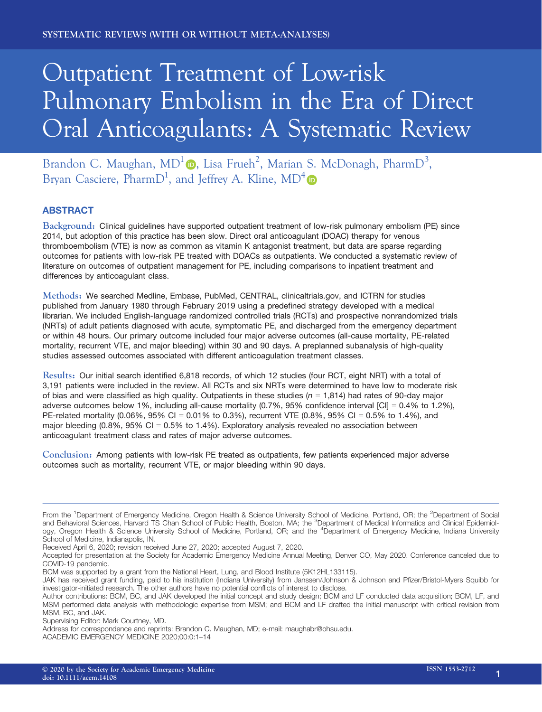# Outpatient Treatment of Low-risk Pulmonary Embolism in the Era of Direct Oral Anticoagulants: A Systematic Review

Brandon C. Maughan,  $MD^1 \bullet$ , Lisa Frueh<sup>2</sup>, Marian S. McDonagh, PharmD<sup>3</sup>, Bryan Casciere, Pharm $D^1$ , and Jeffrey A. Kline,  $MD^4$ 

# **ABSTRACT**

Background: Clinical guidelines have supported outpatient treatment of low-risk pulmonary embolism (PE) since 2014, but adoption of this practice has been slow. Direct oral anticoagulant (DOAC) therapy for venous thromboembolism (VTE) is now as common as vitamin K antagonist treatment, but data are sparse regarding outcomes for patients with low-risk PE treated with DOACs as outpatients. We conducted a systematic review of literature on outcomes of outpatient management for PE, including comparisons to inpatient treatment and differences by anticoagulant class.

Methods: We searched Medline, Embase, PubMed, CENTRAL, clinicaltrials.gov, and ICTRN for studies published from January 1980 through February 2019 using a predefined strategy developed with a medical librarian. We included English-language randomized controlled trials (RCTs) and prospective nonrandomized trials (NRTs) of adult patients diagnosed with acute, symptomatic PE, and discharged from the emergency department or within 48 hours. Our primary outcome included four major adverse outcomes (all-cause mortality, PE-related mortality, recurrent VTE, and major bleeding) within 30 and 90 days. A preplanned subanalysis of high-quality studies assessed outcomes associated with different anticoagulation treatment classes.

Results: Our initial search identified 6,818 records, of which 12 studies (four RCT, eight NRT) with a total of 3,191 patients were included in the review. All RCTs and six NRTs were determined to have low to moderate risk of bias and were classified as high quality. Outpatients in these studies ( $n = 1,814$ ) had rates of 90-day major adverse outcomes below 1%, including all-cause mortality (0.7%, 95% confidence interval [CI] = 0.4% to 1.2%), PE-related mortality (0.06%, 95% CI = 0.01% to 0.3%), recurrent VTE (0.8%, 95% CI = 0.5% to 1.4%), and major bleeding (0.8%, 95% CI = 0.5% to 1.4%). Exploratory analysis revealed no association between anticoagulant treatment class and rates of major adverse outcomes.

Conclusion: Among patients with low-risk PE treated as outpatients, few patients experienced major adverse outcomes such as mortality, recurrent VTE, or major bleeding within 90 days.

Received April 6, 2020; revision received June 27, 2020; accepted August 7, 2020.

From the <sup>1</sup>Department of Emergency Medicine, Oregon Health & Science University School of Medicine, Portland, OR; the <sup>2</sup>Department of Social and Behavioral Sciences, Harvard TS Chan School of Public Health, Boston, MA; the <sup>3</sup>Department of Medical Informatics and Clinical Epidemiology, Oregon Health & Science University School of Medicine, Portland, OR; and the <sup>4</sup>Department of Emergency Medicine, Indiana University School of Medicine, Indianapolis, IN.

Accepted for presentation at the Society for Academic Emergency Medicine Annual Meeting, Denver CO, May 2020. Conference canceled due to COVID-19 pandemic.

BCM was supported by a grant from the National Heart, Lung, and Blood Institute (5K12HL133115).

JAK has received grant funding, paid to his institution (Indiana University) from Janssen/Johnson & Johnson and Pfizer/Bristol-Myers Squibb for investigator-initiated research. The other authors have no potential conflicts of interest to disclose.

Author contributions: BCM, BC, and JAK developed the initial concept and study design; BCM and LF conducted data acquisition; BCM, LF, and MSM performed data analysis with methodologic expertise from MSM; and BCM and LF drafted the initial manuscript with critical revision from MSM, BC, and JAK.

Supervising Editor: Mark Courtney, MD.

Address for correspondence and reprints: Brandon C. Maughan, MD; e-mail: [maughabr@ohsu.edu.](mailto:)

ACADEMIC EMERGENCY MEDICINE 2020;00:0:1–14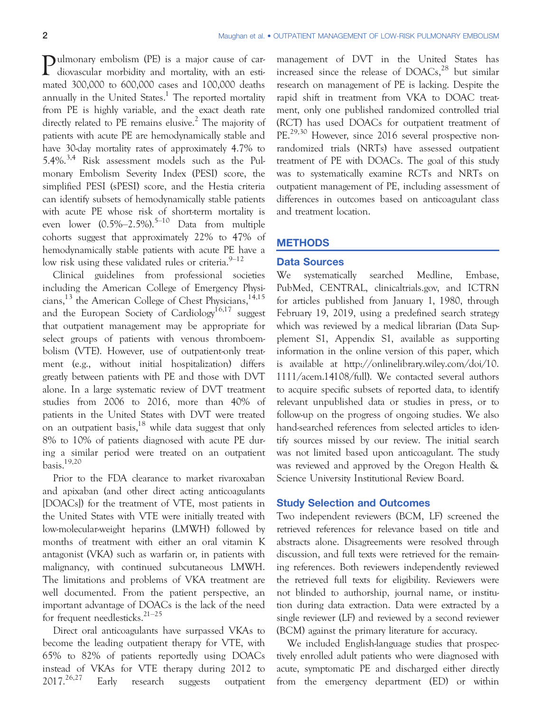Pulmonary embolism (PE) is a major cause of car-<br>diovascular morbidity and mortality, with an estimated 300,000 to 600,000 cases and 100,000 deaths annually in the United States.<sup>1</sup> The reported mortality from PE is highly variable, and the exact death rate directly related to PE remains elusive.<sup>2</sup> The majority of patients with acute PE are hemodynamically stable and have 30-day mortality rates of approximately 4.7% to 5.4%.3,4 Risk assessment models such as the Pulmonary Embolism Severity Index (PESI) score, the simplified PESI (sPESI) score, and the Hestia criteria can identify subsets of hemodynamically stable patients with acute PE whose risk of short-term mortality is even lower  $(0.5\% - 2.5\%)$ .<sup>5–10</sup> Data from multiple cohorts suggest that approximately 22% to 47% of hemodynamically stable patients with acute PE have a low risk using these validated rules or criteria. $9-12$ 

Clinical guidelines from professional societies including the American College of Emergency Physicians,<sup>13</sup> the American College of Chest Physicians,<sup>14,15</sup> and the European Society of Cardiology<sup>16,17</sup> suggest that outpatient management may be appropriate for select groups of patients with venous thromboembolism (VTE). However, use of outpatient-only treatment (e.g., without initial hospitalization) differs greatly between patients with PE and those with DVT alone. In a large systematic review of DVT treatment studies from 2006 to 2016, more than 40% of patients in the United States with DVT were treated on an outpatient basis, $18$  while data suggest that only 8% to 10% of patients diagnosed with acute PE during a similar period were treated on an outpatient basis.19,20

Prior to the FDA clearance to market rivaroxaban and apixaban (and other direct acting anticoagulants [DOACs]) for the treatment of VTE, most patients in the United States with VTE were initially treated with low-molecular-weight heparins (LMWH) followed by months of treatment with either an oral vitamin K antagonist (VKA) such as warfarin or, in patients with malignancy, with continued subcutaneous LMWH. The limitations and problems of VKA treatment are well documented. From the patient perspective, an important advantage of DOACs is the lack of the need for frequent needlesticks.<sup>21-25</sup>

Direct oral anticoagulants have surpassed VKAs to become the leading outpatient therapy for VTE, with 65% to 82% of patients reportedly using DOACs instead of VKAs for VTE therapy during 2012 to  $2017.<sup>26,27</sup>$  Early research suggests outpatient management of DVT in the United States has increased since the release of  $DOACs$ ,<sup>28</sup> but similar research on management of PE is lacking. Despite the rapid shift in treatment from VKA to DOAC treatment, only one published randomized controlled trial (RCT) has used DOACs for outpatient treatment of PE.<sup>29,30</sup> However, since 2016 several prospective nonrandomized trials (NRTs) have assessed outpatient treatment of PE with DOACs. The goal of this study was to systematically examine RCTs and NRTs on outpatient management of PE, including assessment of differences in outcomes based on anticoagulant class and treatment location.

# **METHODS**

#### Data Sources

We systematically searched Medline, Embase, PubMed, CENTRAL, clinicaltrials.gov, and ICTRN for articles published from January 1, 1980, through February 19, 2019, using a predefined search strategy which was reviewed by a medical librarian (Data Supplement S1, Appendix S1, available as supporting information in the online version of this paper, which is available at [http://onlinelibrary.wiley.com/doi/10.](http://onlinelibrary.wiley.com/doi/10.1111/acem.14108/full) [1111/acem.14108/full](http://onlinelibrary.wiley.com/doi/10.1111/acem.14108/full)). We contacted several authors to acquire specific subsets of reported data, to identify relevant unpublished data or studies in press, or to follow-up on the progress of ongoing studies. We also hand-searched references from selected articles to identify sources missed by our review. The initial search was not limited based upon anticoagulant. The study was reviewed and approved by the Oregon Health & Science University Institutional Review Board.

#### Study Selection and Outcomes

Two independent reviewers (BCM, LF) screened the retrieved references for relevance based on title and abstracts alone. Disagreements were resolved through discussion, and full texts were retrieved for the remaining references. Both reviewers independently reviewed the retrieved full texts for eligibility. Reviewers were not blinded to authorship, journal name, or institution during data extraction. Data were extracted by a single reviewer (LF) and reviewed by a second reviewer (BCM) against the primary literature for accuracy.

We included English-language studies that prospectively enrolled adult patients who were diagnosed with acute, symptomatic PE and discharged either directly from the emergency department (ED) or within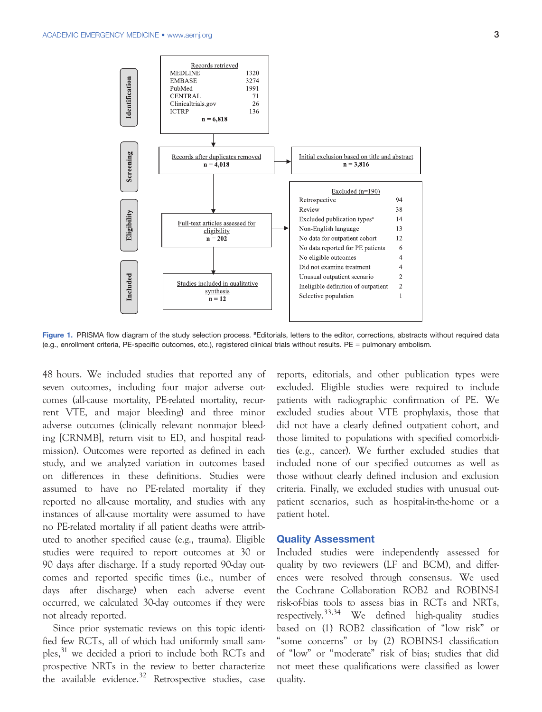

Figure 1. PRISMA flow diagram of the study selection process. <sup>a</sup>Editorials, letters to the editor, corrections, abstracts without required data (e.g., enrollment criteria, PE-specific outcomes, etc.), registered clinical trials without results. PE = pulmonary embolism.

48 hours. We included studies that reported any of seven outcomes, including four major adverse outcomes (all-cause mortality, PE-related mortality, recurrent VTE, and major bleeding) and three minor adverse outcomes (clinically relevant nonmajor bleeding [CRNMB], return visit to ED, and hospital readmission). Outcomes were reported as defined in each study, and we analyzed variation in outcomes based on differences in these definitions. Studies were assumed to have no PE-related mortality if they reported no all-cause mortality, and studies with any instances of all-cause mortality were assumed to have no PE-related mortality if all patient deaths were attributed to another specified cause (e.g., trauma). Eligible studies were required to report outcomes at 30 or 90 days after discharge. If a study reported 90-day outcomes and reported specific times (i.e., number of days after discharge) when each adverse event occurred, we calculated 30-day outcomes if they were not already reported.

Since prior systematic reviews on this topic identified few RCTs, all of which had uniformly small samples,<sup>31</sup> we decided a priori to include both RCTs and prospective NRTs in the review to better characterize the available evidence. $32$  Retrospective studies, case reports, editorials, and other publication types were excluded. Eligible studies were required to include patients with radiographic confirmation of PE. We excluded studies about VTE prophylaxis, those that did not have a clearly defined outpatient cohort, and those limited to populations with specified comorbidities (e.g., cancer). We further excluded studies that included none of our specified outcomes as well as those without clearly defined inclusion and exclusion criteria. Finally, we excluded studies with unusual outpatient scenarios, such as hospital-in-the-home or a patient hotel.

#### Quality Assessment

Included studies were independently assessed for quality by two reviewers (LF and BCM), and differences were resolved through consensus. We used the Cochrane Collaboration ROB2 and ROBINS-I risk-of-bias tools to assess bias in RCTs and NRTs, respectively.<sup>33,34</sup> We defined high-quality studies based on (1) ROB2 classification of "low risk" or "some concerns" or by (2) ROBINS-I classification of "low" or "moderate" risk of bias; studies that did not meet these qualifications were classified as lower quality.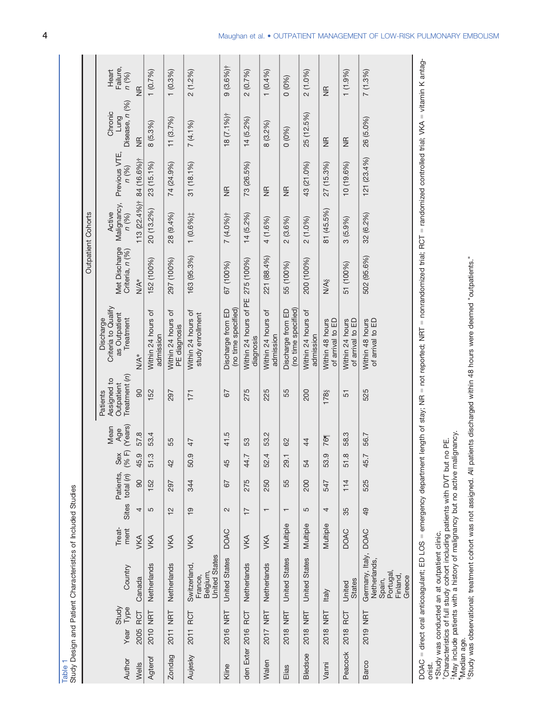| Table          |                       | Study Design and Patient Characteristics of Included Studies                      |                |                          |                          |                |                        |                                                        |                                                                |                                  |                                |                                 |                                   |                            |
|----------------|-----------------------|-----------------------------------------------------------------------------------|----------------|--------------------------|--------------------------|----------------|------------------------|--------------------------------------------------------|----------------------------------------------------------------|----------------------------------|--------------------------------|---------------------------------|-----------------------------------|----------------------------|
|                |                       |                                                                                   |                |                          |                          |                |                        |                                                        |                                                                |                                  | Outpatient Cohorts             |                                 |                                   |                            |
| Author         | Study<br>Type<br>Year | Country                                                                           | Treat-<br>ment | Sites                    | Patients,<br>total $(n)$ | (%F)<br>Sex    | (Years)<br>Mean<br>Age | Treatment (n)<br>Assigned to<br>Outpatient<br>Patients | Criteria to Qualify<br>as Outpatient<br>Discharge<br>Treatment | Met Discharge<br>Criteria, n (%) | Malignancy,<br>Active<br>n (%) | Previous VTE,<br>n (%)          | Disease, n (%)<br>Chronic<br>Lung | Failure,<br>Heart<br>n (%) |
| Wells          | RCT<br>2005           | Canada                                                                            | <b>VKA</b>     | 4                        | 90                       | 45.9           | 57.8                   | 90                                                     | N/A*                                                           | N/A*                             | $113(22.4\%)^{\dagger}$        | 84 (16.6%)†                     | $\frac{1}{2}$                     | $\frac{\alpha}{2}$         |
| Agterof        | 2010 NRT              | Netherlands                                                                       | <b>VKA</b>     | 5                        | 152                      | <u>က္</u><br>5 | 53.4                   | 152                                                    | Within 24 hours of<br>admission                                | 152 (100%)                       | 20 (13.2%)                     | 23 (15.1%)                      | 8(5.3%)                           | 1(0.7%)                    |
| Zondag         | 2011 NRT              | Netherlands                                                                       | <b>VKA</b>     | 12                       | 297                      | $42$           | 55                     | 297                                                    | Within 24 hours of<br>PE diagnosis                             | 297 (100%)                       | 28 (9.4%)                      | 74 (24.9%)                      | 11(3.7%)                          | 1(0.3%)                    |
| Aujesky        | 2011 RCT              | <b>United States</b><br>Switzerland,<br>Belgium,<br>France,                       | <b>VKA</b>     | $\overline{9}$           | 344                      | 50.9           | 47                     | 171                                                    | Within 24 hours of<br>study enrollment                         | 163 (95.3%)                      | 1 (0.6%);                      | $31(18.1\%)$                    | 7(4.1%)                           | 2(1.2%)                    |
| Kline          | <b>NRT</b><br>2016    | <b>United States</b>                                                              | <b>DOAC</b>    | $\sim$                   | 67                       | 45             | 41.5                   | 67                                                     | (no time specified)<br>Discharge from ED                       | 67 (100%)                        | 7 (4.0%)†                      | $\frac{1}{2}$                   | $18(7.1\%)$                       | $9(3.6%)$ †                |
| den Exter      | RCT<br>2016           | Netherlands                                                                       | <b>VKA</b>     | $\overline{1}$           | 275                      | 44.7           | S3                     | 275                                                    | Within 24 hours of PE<br>diagnosis                             | 275 (100%)                       | $14(5.2\%)$                    | 73 (26.5%)                      | $14(5.2\%)$                       | 2 (0.7%)                   |
| <b>Walen</b>   | NRT<br>2017           | Netherlands                                                                       | <b>VKA</b>     | $\overline{\phantom{0}}$ | 250                      | 52.4           | 53.2                   | 225                                                    | Within 24 hours of<br>admission                                | 221 (88.4%)                      | 4 (1.6%)                       | $\frac{1}{2}$                   | 8(3.2%)                           | 1(0.4%)                    |
| Elias          | NRT<br>2018           | <b>United States</b>                                                              | Multiple       | $\overline{\phantom{0}}$ | 55                       | 29.1           | 8                      | 55                                                     | (no time specified)<br>Discharge from ED                       | 55 (100%)                        | 2(3.6%)                        | $\frac{\mathsf{p}}{\mathsf{p}}$ | 0(0%)                             | 0(0%                       |
| <b>Bledsoe</b> | NRT<br>2018           | <b>United States</b>                                                              | Multiple       | 5                        | 200                      | 54             | $\ddot{4}$             | 200                                                    | Within 24 hours of<br>admission                                | 200 (100%)                       | $2(1.0\%)$                     | 43 (21.0%)                      | 25 (12.5%)                        | 2(1.0%)                    |
| Vanni          | <b>THN</b><br>2018    | <b>Italy</b>                                                                      | Multiple       | 4                        | 547                      | ၜ<br>53.       | 76¶                    | 178                                                    | of arrival to ED<br>Within 48 hours                            | <b>N/A<sub>§</sub></b>           | 81 (45.5%)                     | 27 (15.3%)                      | $\frac{1}{2}$                     | $\frac{1}{2}$              |
| Peacock        | RCT<br>2018           | <b>States</b><br>United                                                           | <b>DOAC</b>    | 35                       | 114                      | œ<br>5         | 58.3                   | 51                                                     | of arrival to ED<br>Within 24 hours                            | 51 (100%)                        | 3(5.9%)                        | 10 (19.6%)                      | $\frac{1}{2}$                     | $1(1.9\%)$                 |
| Barco          | 2019 NRT              | Germany, Italy, DOAC<br>Netherlands,<br>Portugal,<br>Finland,<br>Greece<br>Spain, |                | $\overline{9}$           | 525                      | 45.7           | 56.7                   | 525                                                    | Within 48 hours<br>of arrival to ED                            | 502 (95.6%)                      | 32 (6.2%)                      | $121(23.4\%)$                   | 26 (5.0%)                         | 7(1.3%)                    |
|                |                       |                                                                                   |                |                          |                          |                |                        |                                                        |                                                                |                                  |                                |                                 |                                   |                            |

DOAC = direct oral anticoagulant; ED LOS = emergency department length of stay; NR = not reported; NRT = nonrandomized trial; RCT = randomized controlled trial; VKA = vitamin K antag-DOAC = direct oral anticoagulant; ED LOS = emergency department length of stay; NR = not reported; NRT = nonrandomized trial; RCT = randomized controlled trial; WKA = vitamin K antag-<br>onist.

\*Study was conducted an at outpatient clinic.

†Characteristics of full study cohort including patients with DVT but no PE.

‡May include patients with a history of malignancy but no active malignancy.

¶Median age.

\*Study was conducted an at outpatient clinic.<br>†Characteristics of full study cohort including patients with DVT but no PE.<br>‡May include patients with a history of malignancy but no active malignancy.<br>"Median age.<br>\*Study wa §Study was observational; treatment cohort was not assigned. All patients discharged within 48 hours were deemed "outpatients."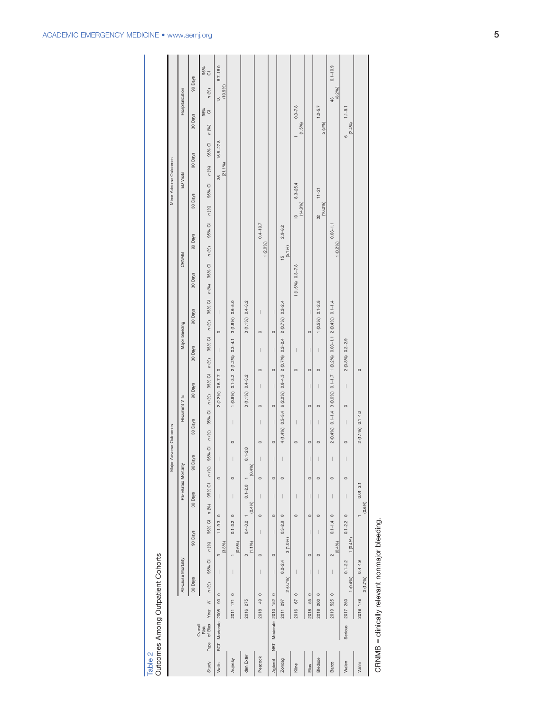|                       |                            |                         |                                                  |                         |                                       |         |                                                                                                                                                                                                                                                                                                                                                                                             |                       | Major Adverse Outcomes |                                |                                        |                                                  |                                                                       |                    |                                     |               |                        |               |                   |                       |              |
|-----------------------|----------------------------|-------------------------|--------------------------------------------------|-------------------------|---------------------------------------|---------|---------------------------------------------------------------------------------------------------------------------------------------------------------------------------------------------------------------------------------------------------------------------------------------------------------------------------------------------------------------------------------------------|-----------------------|------------------------|--------------------------------|----------------------------------------|--------------------------------------------------|-----------------------------------------------------------------------|--------------------|-------------------------------------|---------------|------------------------|---------------|-------------------|-----------------------|--------------|
|                       |                            |                         |                                                  |                         |                                       |         |                                                                                                                                                                                                                                                                                                                                                                                             |                       |                        |                                |                                        |                                                  |                                                                       |                    |                                     |               | Minor Adverse Outcomes |               |                   |                       |              |
|                       |                            |                         | All-cause Mortality                              |                         |                                       |         | PE-related Mortality                                                                                                                                                                                                                                                                                                                                                                        |                       |                        | Recurrent VTE                  |                                        |                                                  | Major bleeding                                                        |                    | CRNMB                               |               | ED Visits              |               |                   | Hospitalization       |              |
|                       |                            |                         | 30 Days                                          |                         | 90 Days                               | 30 Days |                                                                                                                                                                                                                                                                                                                                                                                             | 90 Days               | 30 Days                |                                | 90 Days                                | 30 Days                                          | 90 Days                                                               | 30 Days            | 90 Days                             | 30 Days       |                        | 90 Days       | 30 Days           |                       | 90 Days      |
| Type<br>Study         | of Bias<br>Overall<br>Risk | $\geq$<br>Year          | n (%)                                            | n (%)<br>95% CI         | 95% CI $n$ (%)                        |         | 95% Cl n (%)                                                                                                                                                                                                                                                                                                                                                                                |                       |                        |                                | 95% Cl n (%) 95% Cl n (%) 95% Cl n (%) |                                                  | 95% CI n (%) 95% CI n (%) 95% CI n (%)                                |                    | 95% CI n (%)                        |               | 95% CI n (%)           | 95% CI        | n (%)             | n (%)<br>95%<br>O     | 88<br>0      |
| Wells                 | RCT Moderate 2005          | 90                      | $\circ$                                          | (3.3%)<br>ო             | $1.1 - 9.3$                           | $\circ$ | $\circ$<br>I                                                                                                                                                                                                                                                                                                                                                                                |                       |                        |                                | $2(2.2\%)$ 0.6-7.7 0                   | $\begin{array}{c} \hline \end{array}$            | $\begin{array}{c} \hline \end{array}$<br>$\circ$                      |                    |                                     |               | 36<br>(21.1%)          | $15.6 - 27.8$ |                   | $\frac{18}{(10.5\%)}$ | $6.7 - 16.0$ |
| Aujesky               |                            | 2011 171                | $\mid$<br>$\circ$                                | (0.6%)                  | $0.1 - 3.2$                           | $\circ$ | $\circ$<br>$\begin{array}{c} \rule{0pt}{2.5ex} \rule{0pt}{2.5ex} \rule{0pt}{2.5ex} \rule{0pt}{2.5ex} \rule{0pt}{2.5ex} \rule{0pt}{2.5ex} \rule{0pt}{2.5ex} \rule{0pt}{2.5ex} \rule{0pt}{2.5ex} \rule{0pt}{2.5ex} \rule{0pt}{2.5ex} \rule{0pt}{2.5ex} \rule{0pt}{2.5ex} \rule{0pt}{2.5ex} \rule{0pt}{2.5ex} \rule{0pt}{2.5ex} \rule{0pt}{2.5ex} \rule{0pt}{2.5ex} \rule{0pt}{2.5ex} \rule{0$ |                       | $\circ$                | $\begin{array}{c} \end{array}$ |                                        |                                                  | 1 (0.6%) 0.1-3.2 2 (1.2%) 0.3-4.1 3 (1.8%) 0.6-5.0                    |                    |                                     |               |                        |               |                   |                       |              |
| den Exter             |                            | 2016 275                |                                                  | (1.1%)<br>$\infty$      | $0.4 - 3.2$ 1                         | (0.4%)  | $0.1 - 2.0$                                                                                                                                                                                                                                                                                                                                                                                 | $0.1 - 2.0$<br>(0.4%) |                        |                                | 3 (1.1%) 0.4-3.2                       |                                                  | 3 (1.1%) 0.4-3.2                                                      |                    |                                     |               |                        |               |                   |                       |              |
| Peacock               |                            | 49<br>2018              | $\mid$<br>$\circ$                                | $\circ$                 | $\overline{\phantom{a}}$              | $\circ$ | $\circ$<br>$\mid$                                                                                                                                                                                                                                                                                                                                                                           |                       | $\circ$                | $\circ$<br>$\mid$              | $\overline{\phantom{a}}$               | $\overline{\phantom{a}}$<br>$\circ$              | $\circ$                                                               |                    | $0.4 - 10.7$<br>1 (2.0%)            |               |                        |               |                   |                       |              |
| Agterof               |                            | NRT Moderate 2010 152 0 | $\begin{array}{c} \hline \end{array}$            | $\circ$                 | $\begin{array}{c} \hline \end{array}$ | $\circ$ | $\circ$<br>$\mid$                                                                                                                                                                                                                                                                                                                                                                           |                       | $\circ$                | $\circ$<br>$\mid$              |                                        | $\begin{array}{c} \hline \end{array}$<br>$\circ$ | $\circ$                                                               |                    |                                     |               |                        |               |                   |                       |              |
| Zondag                |                            | 2011 297                | 2 (0.7%)                                         | 3 (1.0%)<br>$0.2 - 2.4$ | $0.3 - 2.9$                           | $\circ$ | $\circ$                                                                                                                                                                                                                                                                                                                                                                                     | $\mid$                |                        |                                |                                        |                                                  | $4(1.4\%)$ 0.5-3.4 6 (2.0%) 0.8-4.3 2 (0.7%) 0.2-2.4 2 (0.7%) 0.2-2.4 |                    | $2.9 - 8.2$<br>$\frac{15}{(5.1\%)}$ |               |                        |               |                   |                       |              |
| Kline                 |                            | 67<br>2016              | $\overline{\phantom{a}}$<br>$\circ$              |                         |                                       | $\circ$ | $\mid$                                                                                                                                                                                                                                                                                                                                                                                      |                       | $\circ$                | $\begin{array}{c} \end{array}$ |                                        | $\overline{\phantom{a}}$<br>$\circ$              |                                                                       | $1(1.5\%)$ 0.3-7.8 |                                     | (10)(14.9%)   | $8.3 - 25.4$           |               | $(1.5\%)$         | $0.3 - 7.8$           |              |
| Elias                 |                            | 55<br>2018              | $\mid$<br>$\circ$                                | $\circ$                 | $\mid$                                | $\circ$ | $\circ$<br>$\begin{array}{c} \rule{0pt}{2.5ex} \rule{0pt}{2.5ex} \rule{0pt}{2.5ex} \rule{0pt}{2.5ex} \rule{0pt}{2.5ex} \rule{0pt}{2.5ex} \rule{0pt}{2.5ex} \rule{0pt}{2.5ex} \rule{0pt}{2.5ex} \rule{0pt}{2.5ex} \rule{0pt}{2.5ex} \rule{0pt}{2.5ex} \rule{0pt}{2.5ex} \rule{0pt}{2.5ex} \rule{0pt}{2.5ex} \rule{0pt}{2.5ex} \rule{0pt}{2.5ex} \rule{0pt}{2.5ex} \rule{0pt}{2.5ex} \rule{0$ | $\mid$                | $\circ$                | $\circ$<br>$\mid$              | $\mid$                                 | $\mid$<br>$\circ$                                | $\begin{array}{c} \end{array}$<br>$\circ$                             |                    |                                     |               |                        |               |                   |                       |              |
| Bledsoe               |                            | 2018 200                | $\begin{array}{c} \hline \end{array}$<br>$\circ$ | $\circ$                 | $\begin{array}{c} \hline \end{array}$ | $\circ$ | $\circ$<br>$\begin{array}{c} \hline \end{array}$                                                                                                                                                                                                                                                                                                                                            |                       | $\circ$                | $\circ$<br>$\mid$              | $\mid$                                 | $\bigg $<br>$\circ$                              | $1(0.5\%)$ $0.1-2.8$                                                  |                    |                                     | 32<br>(16.0%) | $11 - 21$              |               | 5 (3%)            | $1.0 - 5.7$           |              |
| Barco                 |                            | 525<br>2019             | $\mid$<br>$\circ$                                | (0.4%)<br>$\sim$        | $0.1 - 1.4$                           | $\circ$ | $\circ$<br>$\mid$                                                                                                                                                                                                                                                                                                                                                                           | $\lvert$              |                        |                                |                                        |                                                  | 2 (0.4%) 0.1-1.4 3 (0.6%) 0.1-1.7 1 (0.2%) 0.03-1.1 2 (0.4%) 0.1-1.4  |                    | $0.03 - 1.1$<br>1(0.2%)             |               |                        |               |                   | (8.2%)<br>43          | $6.1 - 10.9$ |
| Walen                 | Serious                    | 2017 250                | 1(0.4%)                                          | 1(0.4%)<br>$0.1 - 2.2$  | $0.1 - 2.2$                           | $\circ$ | $\circ$<br>$\mid$                                                                                                                                                                                                                                                                                                                                                                           |                       | $\circ$                | $\circ$<br>$\mid$              | $\begin{array}{c} \end{array}$         | $2(0.8\%)$ $0.2-2.9$                             |                                                                       |                    |                                     |               |                        |               | (2.4%)<br>$\circ$ | $1.1 - 5.1$           |              |
| Vanni                 |                            | 2018 178                | 3 (1.7%)                                         | $0.4 - 4.9$             |                                       | (0.6%)  | $0.01 - 3.1$                                                                                                                                                                                                                                                                                                                                                                                |                       | $2(1.1\%)$ 0.1-4.0     |                                |                                        | I<br>$\circ$                                     |                                                                       |                    |                                     |               |                        |               |                   |                       |              |
| -<br>-<br>-<br>-<br>- |                            |                         |                                                  |                         |                                       |         |                                                                                                                                                                                                                                                                                                                                                                                             |                       |                        |                                |                                        |                                                  |                                                                       |                    |                                     |               |                        |               |                   |                       |              |

Table 2<br>Outcomes Among Outpatient Cohorts Outcomes Among Outpatient Cohorts

CRNMB = clinically relevant nonmajor bleeding. CRNMB = clinically relevant nonmajor bleeding.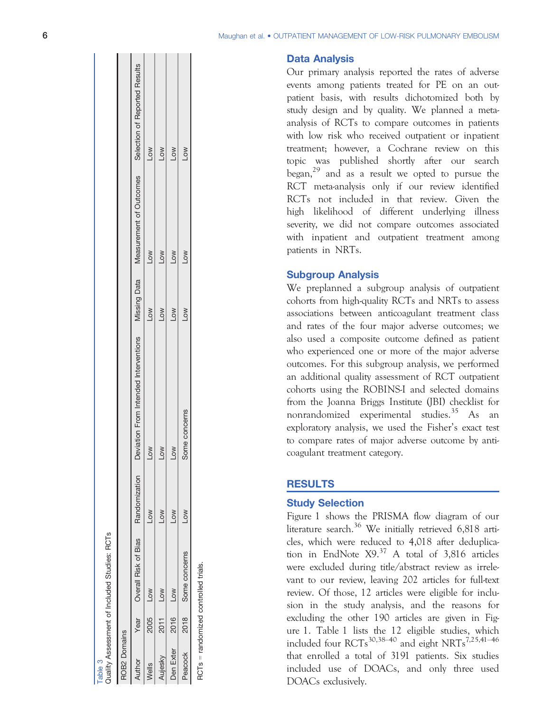#### Data Analysis

Our primary analysis reported the rates of adverse events among patients treated for PE on an outpatient basis, with results dichotomized both by study design and by quality. We planned a metaanalysis of RCTs to compare outcomes in patients with low risk who received outpatient or inpatient treatment; however, a Cochrane review on this topic was published shortly after our search began, $^{29}$  and as a result we opted to pursue the RCT meta-analysis only if our review identified RCTs not included in that review. Given the high likelihood of different underlying illness severity, we did not compare outcomes associated with inpatient and outpatient treatment among patients in NRTs.

#### Subgroup Analysis

We preplanned a subgroup analysis of outpatient cohorts from high-quality RCTs and NRTs to assess associations between anticoagulant treatment class and rates of the four major adverse outcomes; we also used a composite outcome defined as patient who experienced one or more of the major adverse outcomes. For this subgroup analysis, we performed an additional quality assessment of RCT outpatient cohorts using the ROBINS-I and selected domains from the Joanna Briggs Institute (JBI) checklist for nonrandomized experimental studies.<sup>35</sup> As an exploratory analysis, we used the Fisher 's exact test to compare rates of major adverse outcome by anticoagulant treatment category.

## **RESULTS**

## Study Selection

Figure 1 shows the PRISMA flow diagram of our literature search.<sup>36</sup> We initially retrieved  $6,818$  articles, which were reduced to 4,018 after deduplication in EndNote  $X9<sup>37</sup>$  A total of 3,816 articles were excluded during title/abstract review as irrelevant to our review, leaving 202 articles for full-text review. Of those, 12 articles were eligible for inclusion in the study analysis, and the reasons for excluding the other 190 articles are given in Figure 1. Table 1 lists the 12 eligible studies, which included four RCTs<sup>30,38–40</sup> and eight NRTs<sup>7,25,41–46</sup> that enrolled a total of 3191 patients. Six studies included use of DOACs, and only three used DOACs exclusively.

| ROB2 Domains |      |                           |               |                                                                                                          |            |            |                 |
|--------------|------|---------------------------|---------------|----------------------------------------------------------------------------------------------------------|------------|------------|-----------------|
| Author       |      | Year Overall Risk of Bias | Randomization | Deviation From Intended Interventions Missing Data Measurement of Outcomes Selection of Reported Results |            |            |                 |
| Nells        | 2005 | <b>NOT</b>                | NOJ           | No7                                                                                                      | <b>NOT</b> | <b>NOT</b> | <b>NOT</b>      |
| ujesky       | 2011 | <b>NOT</b>                | NOT           | NoT                                                                                                      | NOT        | NOT        | NO <sub>T</sub> |
| Den Exter    | 2016 | <b>NOT</b>                | NOT           | $\geq$                                                                                                   | NOT        | <b>NOT</b> | <b>MOT</b>      |
| Peacock      | 2018 | Some concerns             | <b>NOT</b>    | Some concerns                                                                                            | NOJ        | <b>NO</b>  | LOW             |

able 3

Quality Assessment of Included Studies: RCTs

Quality Assessment of Included Studies: RCTs

RCTs = randomized controlled trials.

RCTs = randomized controlled trials.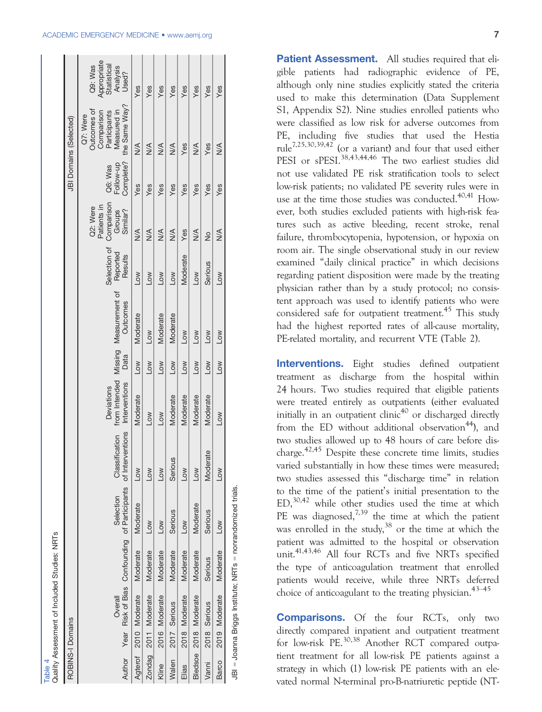## ACADEMIC EMERGENCY MEDICINE • www.aemj.org 7 / 2022 7 / 2022 7 / 2022 7 / 2022 7 / 2022 7 / 2022 7 / 2022 7 / 2022 7 / 2022 7 / 2022 7 / 2022 7 / 2022 7 / 2022 7 / 2022 7 / 2022 7 / 2022 7 / 2022 7 / 2022 7 / 2022 7 / 2022

Table 4<br>Quality Assessment of Included Studies: NRTs Table 4 Quality Assessment of Included Studies: NRTs

|                  |                       | <b>PIIM」SPINNIN DANNAIL IN ILEILEONOCU AILBIN</b> |                                                                                    |                |                                    |                       |                                                  |                                     |                                                             |                                   |                                                                                       |                                                            |
|------------------|-----------------------|---------------------------------------------------|------------------------------------------------------------------------------------|----------------|------------------------------------|-----------------------|--------------------------------------------------|-------------------------------------|-------------------------------------------------------------|-----------------------------------|---------------------------------------------------------------------------------------|------------------------------------------------------------|
| ROBINS-I Domains |                       |                                                   |                                                                                    |                |                                    |                       |                                                  |                                     |                                                             |                                   | JBI Domains (Selected)                                                                |                                                            |
|                  | Overall               |                                                   | Author Year Risk of Bias Confounding of Participants of Interventions<br>Selection | Classification | Interventions<br><b>Deviations</b> | Data                  | from Intended Missing Measurement of<br>Outcomes | Selection of<br>Reported<br>Results | Comparison<br>Patients in<br>Q2: Were<br>Groups<br>Similar? | Complete?<br>Follow-up<br>Q6: Was | the Same Way?<br>Outcomes of<br>Measured in<br>Comparison<br>Participants<br>Q7: Were | Appropriate<br>Statistical<br>Q9: Was<br>Analysis<br>Used? |
| Agterof          | 2010 Moderate         | Moderate                                          | Moderate                                                                           | <b>NOT</b>     | Moderate                           | <b>NOT</b>            | Moderate                                         | <b>NOT</b>                          | $\frac{1}{2}$                                               | Yes                               | $\frac{1}{2}$                                                                         | Yes                                                        |
|                  | Zondag 2011 Moderate  | Moderate                                          | Low                                                                                | <b>NOT</b>     | <b>NOT</b>                         | $\geq$                | Low                                              | Low                                 | $\frac{4}{2}$                                               | Yes                               | $\frac{1}{2}$                                                                         | Yes                                                        |
| Kline            | 2016 Moderate         | Moderate                                          | Low                                                                                | <b>NOT</b>     | Low                                | <b>NOT</b>            | Moderate                                         | Low                                 | $\frac{1}{2}$                                               | Yes                               | $\frac{1}{2}$                                                                         | Yes                                                        |
| Walen            | 2017 Serious          | Moderate                                          | Serious                                                                            | Serious        | Moderate                           | <b>NOT</b>            | Moderate                                         | <b>NOT</b>                          | $\frac{4}{2}$                                               | Yes                               | $\frac{1}{2}$                                                                         | Yes                                                        |
| Elias            | 2018 Moderate         | Moderate                                          | Low                                                                                | Low            | Moderate                           | Low                   | <b>NOT</b>                                       | Moderate                            | Yes                                                         | Yes                               | Yes                                                                                   | Yes                                                        |
|                  | Bledsoe 2018 Moderate | Moderate                                          | Moderate                                                                           | $\sqrt{2}$     | Moderate                           | $\geq$                | <b>NOT</b>                                       | Low                                 | $\frac{1}{2}$                                               | Yes                               | $\frac{1}{2}$                                                                         | Yes                                                        |
| Vanni            | 2018 Serious          | Serious                                           | Serious                                                                            | Moderate       | Moderate                           | $\sum_{i=1}^{\infty}$ | <b>NOT</b>                                       | Serious                             | $\frac{1}{2}$                                               | Yes                               | Yes                                                                                   | Yes                                                        |
| Barco            | 2019 Moderate         | Moderate                                          | Low                                                                                | <b>NO7</b>     | Low                                | <b>NOT</b>            | Low                                              | Low                                 | $\frac{1}{2}$                                               | Yes                               | $\frac{1}{2}$                                                                         | Yes                                                        |
|                  |                       |                                                   | JBI = Joanna Briggs Institute; NRTs = nonrandomized trials.                        |                |                                    |                       |                                                  |                                     |                                                             |                                   |                                                                                       |                                                            |

Patient Assessment. All studies required that eligible patients had radiographic evidence of PE, although only nine studies explicitly stated the criteria used to make this determination (Data Supplement S1, Appendix S2). Nine studies enrolled patients who were classified as low risk for adverse outcomes from PE, including five studies that used the Hestia rule<sup>7,25,30,39,42</sup> (or a variant) and four that used either PESI or sPESI.<sup>38,43,44,46</sup> The two earliest studies did not use validated PE risk stratification tools to select low-risk patients; no validated PE severity rules were in use at the time those studies was conducted. $40,41$  However, both studies excluded patients with high-risk features such as active bleeding, recent stroke, renal failure, thrombocytopenia, hypotension, or hypoxia on room air. The single observational study in our review examined "daily clinical practice" in which decisions regarding patient disposition were made by the treating physician rather than by a study protocol; no consistent approach was used to identify patients who were considered safe for outpatient treatment.<sup>45</sup> This study had the highest reported rates of all-cause mortality, PE-related mortality, and recurrent VTE (Table 2).

Interventions. Eight studies defined outpatient treatment as discharge from the hospital within 24 hours. Two studies required that eligible patients were treated entirely as outpatients (either evaluated initially in an outpatient clinic<sup>40</sup> or discharged directly from the ED without additional observation<sup>44</sup>), and two studies allowed up to 48 hours of care before discharge.<sup>42,45</sup> Despite these concrete time limits, studies varied substantially in how these times were measured; two studies assessed this "discharge time" in relation to the time of the patient's initial presentation to the ED, $30,42$  while other studies used the time at which PE was diagnosed, $7,39$  the time at which the patient was enrolled in the study,  $38$  or the time at which the patient was admitted to the hospital or observation unit.41,43,46 All four RCTs and five NRTs specified the type of anticoagulation treatment that enrolled patients would receive, while three NRTs deferred choice of anticoagulant to the treating physician.<sup>43–45</sup>

Comparisons. Of the four RCTs, only two directly compared inpatient and outpatient treatment for low-risk  $PE^{30,38}$  Another RCT compared outpatient treatment for all low-risk PE patients against a strategy in which (1) low-risk PE patients with an elevated normal N-terminal pro-B-natriuretic peptide (NT-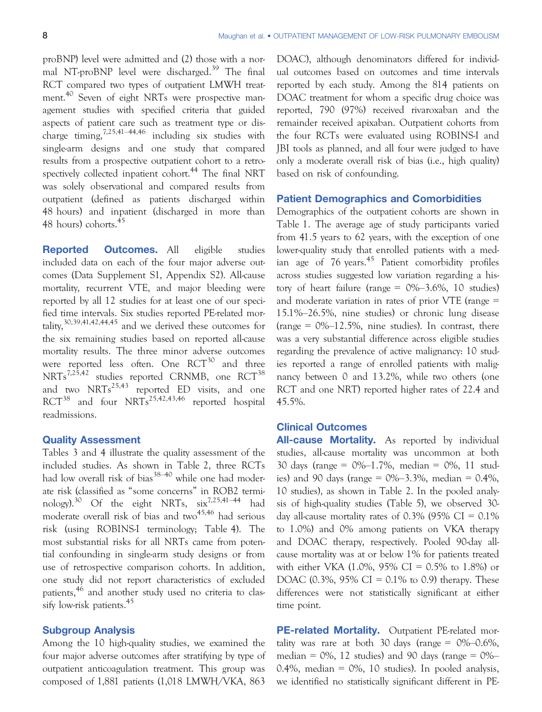proBNP) level were admitted and (2) those with a normal NT-proBNP level were discharged.<sup>39</sup> The final RCT compared two types of outpatient LMWH treatment.<sup>40</sup> Seven of eight NRTs were prospective management studies with specified criteria that guided aspects of patient care such as treatment type or discharge timing,7,25,41–44,46 including six studies with single-arm designs and one study that compared results from a prospective outpatient cohort to a retrospectively collected inpatient cohort.<sup>44</sup> The final NRT was solely observational and compared results from outpatient (defined as patients discharged within 48 hours) and inpatient (discharged in more than 48 hours) cohorts.<sup>45</sup>

Reported Outcomes. All eligible studies included data on each of the four major adverse outcomes (Data Supplement S1, Appendix S2). All-cause mortality, recurrent VTE, and major bleeding were reported by all 12 studies for at least one of our specified time intervals. Six studies reported PE-related mortality,  $30,39,41,42,44,45$  and we derived these outcomes for the six remaining studies based on reported all-cause mortality results. The three minor adverse outcomes were reported less often. One  $RCT^{30}$  and three NRTs<sup>7,25,42</sup> studies reported CRNMB, one RCT<sup>38</sup> and two  $NRTs^{25,43}$  reported ED visits, and one  $RCT^{38}$  and four  $NRTs^{25,42,43,46}$  reported hospital readmissions.

#### Quality Assessment

Tables 3 and 4 illustrate the quality assessment of the included studies. As shown in Table 2, three RCTs had low overall risk of bias<sup>38–40</sup> while one had moderate risk (classified as "some concerns" in ROB2 terminology).<sup>30</sup> Of the eight NRTs,  $\sin^{7,25,41-44}$  had moderate overall risk of bias and  $two^{45,46}$  had serious risk (using ROBINS-I terminology; Table 4). The most substantial risks for all NRTs came from potential confounding in single-arm study designs or from use of retrospective comparison cohorts. In addition, one study did not report characteristics of excluded patients,<sup>46</sup> and another study used no criteria to classify low-risk patients.<sup>45</sup>

## Subgroup Analysis

Among the 10 high-quality studies, we examined the four major adverse outcomes after stratifying by type of outpatient anticoagulation treatment. This group was composed of 1,881 patients (1,018 LMWH/VKA, 863

DOAC), although denominators differed for individual outcomes based on outcomes and time intervals reported by each study. Among the 814 patients on DOAC treatment for whom a specific drug choice was reported, 790 (97%) received rivaroxaban and the remainder received apixaban. Outpatient cohorts from the four RCTs were evaluated using ROBINS-I and JBI tools as planned, and all four were judged to have only a moderate overall risk of bias (i.e., high quality) based on risk of confounding.

#### Patient Demographics and Comorbidities

Demographics of the outpatient cohorts are shown in Table 1. The average age of study participants varied from 41.5 years to 62 years, with the exception of one lower-quality study that enrolled patients with a median age of  $76$  years.<sup>45</sup> Patient comorbidity profiles across studies suggested low variation regarding a history of heart failure (range =  $0\% - 3.6\%$ , 10 studies) and moderate variation in rates of prior VTE (range = 15.1%–26.5%, nine studies) or chronic lung disease (range =  $0\%-12.5\%$ , nine studies). In contrast, there was a very substantial difference across eligible studies regarding the prevalence of active malignancy: 10 studies reported a range of enrolled patients with malignancy between 0 and 13.2%, while two others (one RCT and one NRT) reported higher rates of 22.4 and 45.5%.

## Clinical Outcomes

All-cause Mortality. As reported by individual studies, all-cause mortality was uncommon at both 30 days (range = 0%–1.7%, median = 0%, 11 studies) and 90 days (range =  $0\% - 3.3\%$ , median = 0.4%, 10 studies), as shown in Table 2. In the pooled analysis of high-quality studies (Table 5), we observed 30 day all-cause mortality rates of 0.3% (95% CI =  $0.1\%$ ) to 1.0%) and 0% among patients on VKA therapy and DOAC therapy, respectively. Pooled 90-day allcause mortality was at or below 1% for patients treated with either VKA (1.0%, 95% CI = 0.5% to 1.8%) or DOAC (0.3%, 95% CI =  $0.1\%$  to 0.9) therapy. These differences were not statistically significant at either time point.

PE-related Mortality. Outpatient PE-related mortality was rare at both 30 days (range  $= 0\% - 0.6\%$ , median =  $0\%$ , 12 studies) and 90 days (range =  $0\%$ – 0.4%, median = 0%, 10 studies). In pooled analysis, we identified no statistically significant different in PE-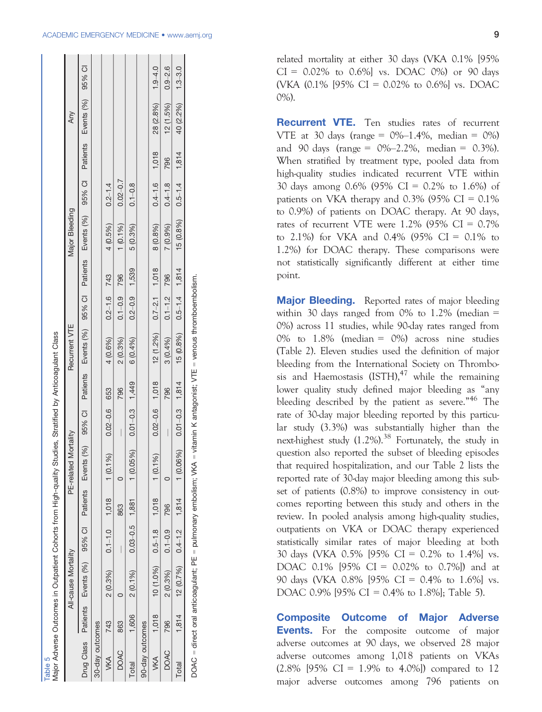$111111111111$ 

| Ì                        |
|--------------------------|
|                          |
| I                        |
| l<br>$\ddot{\cdot}$      |
| .<br>ک                   |
|                          |
|                          |
|                          |
|                          |
|                          |
|                          |
| í                        |
| $\overline{\phantom{a}}$ |

SS

|                 |       | All-cause Mortality                   |             |     | PE-related Mortality                                                                                                                              |                    |       | Recurrent VTE                 |                   |                   | <b>Major Bleeding</b> |                   |       | Any       |             |
|-----------------|-------|---------------------------------------|-------------|-----|---------------------------------------------------------------------------------------------------------------------------------------------------|--------------------|-------|-------------------------------|-------------------|-------------------|-----------------------|-------------------|-------|-----------|-------------|
|                 |       |                                       |             |     | Drug Class Patients Events (%) 95% Cl Patients Events (%) 95% Cl Patients Events (%) 95% Cl Patients Events (%) 95% Cl Patients Events (%) 95% Cl |                    |       |                               |                   |                   |                       |                   |       |           |             |
| 30-day outcomes |       |                                       |             |     |                                                                                                                                                   |                    |       |                               |                   |                   |                       |                   |       |           |             |
| <b>VKA</b>      | 743   | $2(0.3\%)$ $0.1-1.0$ $1,018$          |             |     | $1(0.1\%)$                                                                                                                                        | $0.02 - 0.6$       | 653   | 4 (0.6%)                      | $0.2 - 1.6$ 743   |                   | $4(0.5\%)$            | $0.2 - 1.4$       |       |           |             |
| <b>DOAC</b>     | 863   |                                       |             | 863 |                                                                                                                                                   |                    | 796   | 2(0.3%)                       | $0.1 - 0.9$       | 796               | $1(0.1\%)$            | $0.02 - 0.7$      |       |           |             |
| Total           |       | 1,606 $2(0.1\%)$ $0.03-0.5$ 1,881     |             |     | $1 (0.05\%) 0.01 - 0.3$                                                                                                                           |                    | 1,449 | 6 (0.4%)                      | $0.2 - 0.9$ 1,539 |                   | 5 (0.3%)              | $0.1 - 0.8$       |       |           |             |
| 90-day outcomes |       |                                       |             |     |                                                                                                                                                   |                    |       |                               |                   |                   |                       |                   |       |           |             |
| <b>VKA</b>      | 1,018 | $10(1.0\%)$ 0.5-1.8 1,018             |             |     | $1(0.1\%)$                                                                                                                                        | $0.02 - 0.6$ 1,018 |       | $12(1.2\%)$ $0.7-2.1$ $1,018$ |                   |                   | 8 (0.8%)              | $0.4 - 1.6$       | 1,018 | 28 (2.8%) | $1.9 - 4.0$ |
| <b>DOAC</b>     | 796   | 2 (0.3%)                              | $0.1 - 0.9$ | 796 |                                                                                                                                                   |                    | 796   | 3(0.4%)                       | $0.1 - 1.2$       | 796               | 7 (0.9%)              | $0.4 - 1.8$       | 796   | 12(1.5%)  | $0.9 - 2.6$ |
| Total           |       | $1,814$ $12(0.7\%)$ $0.4-1.2$ $1,814$ |             |     | $1(0.06\%)$ $0.01-0.3$ $1,814$                                                                                                                    |                    |       | 15 (0.8%)                     |                   | $0.5 - 1.4$ 1,814 | 15 (0.8%)             | $0.5 - 1.4$ 1,814 |       | 40 (2.2%) | $1.3 - 3.0$ |

DOAC = direct oral anticoagulant; PE = pulmonary embolism; VKA = vitamin K antagonist; VTE = venous thromboembolism. DOAC = direct oral anticoagulant; PE = pulmonary embolism; VKA = vitamin K antagonist; VTE = venous thromboembolism related mortality at either 30 days (VKA 0.1% [95%  $CI = 0.02\%$  to 0.6% vs. DOAC 0% or 90 days (VKA  $(0.1\%$  [95% CI = 0.02% to 0.6%] vs. DOAC 0%).

**Recurrent VTE.** Ten studies rates of recurrent VTE at 30 days (range =  $0\%-1.4\%$ , median =  $0\%$ ) and 90 days (range =  $0\%-2.2\%$ , median = 0.3%). When stratified by treatment type, pooled data from high-quality studies indicated recurrent VTE within 30 days among 0.6% (95% CI = 0.2% to 1.6%) of patients on VKA therapy and  $0.3\%$  (95% CI = 0.1%) to 0.9%) of patients on DOAC therapy. At 90 days, rates of recurrent VTE were  $1.2\%$  (95% CI = 0.7%) to 2.1%) for VKA and 0.4% (95% CI =  $0.1\%$  to 1.2%) for DOAC therapy. These comparisons were not statistically significantly different at either time point.

Major Bleeding. Reported rates of major bleeding within 30 days ranged from 0% to 1.2% (median  $=$ 0%) across 11 studies, while 90-day rates ranged from 0% to 1.8% (median = 0%) across nine studies (Table 2). Eleven studies used the definition of major bleeding from the International Society on Thrombosis and Haemostasis (ISTH), $47$  while the remaining lower quality study defined major bleeding as "any bleeding described by the patient as severe."<sup>46</sup> The rate of 30-day major bleeding reported by this particular study (3.3%) was substantially higher than the next-highest study  $(1.2\%)$ .<sup>38</sup> Fortunately, the study in question also reported the subset of bleeding episodes that required hospitalization, and our Table 2 lists the reported rate of 30-day major bleeding among this subset of patients (0.8%) to improve consistency in outcomes reporting between this study and others in the review. In pooled analysis among high-quality studies, outpatients on VKA or DOAC therapy experienced statistically similar rates of major bleeding at both 30 days (VKA 0.5% [95% CI = 0.2% to 1.4%] vs. DOAC 0.1% [95% CI = 0.02% to 0.7%]) and at 90 days (VKA 0.8% [95% CI = 0.4% to 1.6%] vs. DOAC 0.9% [95% CI = 0.4% to 1.8%]; Table 5).

Composite Outcome of Major Adverse **Events.** For the composite outcome of major adverse outcomes at 90 days, we observed 28 major adverse outcomes among 1,018 patients on VKAs  $(2.8\% \, [95\% \, CI = 1.9\% \, to \, 4.0\%])$  compared to 12 major adverse outcomes among 796 patients on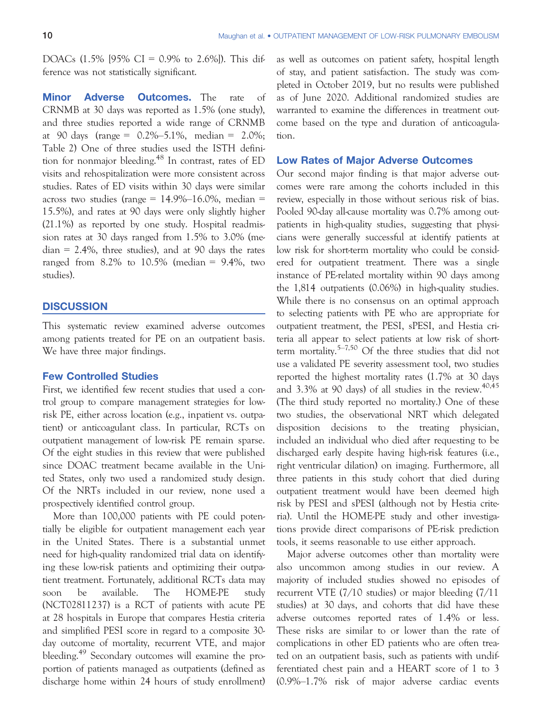DOACs  $(1.5\%$  [95% CI = 0.9% to 2.6%]). This difference was not statistically significant.

**Minor Adverse Outcomes.** The rate of CRNMB at 30 days was reported as 1.5% (one study), and three studies reported a wide range of CRNMB at 90 days (range =  $0.2\% - 5.1\%$ , median =  $2.0\%$ ; Table 2) One of three studies used the ISTH definition for nonmajor bleeding.<sup>48</sup> In contrast, rates of ED visits and rehospitalization were more consistent across studies. Rates of ED visits within 30 days were similar across two studies (range =  $14.9\%$ -16.0%, median = 15.5%), and rates at 90 days were only slightly higher (21.1%) as reported by one study. Hospital readmission rates at 30 days ranged from 1.5% to 3.0% (me $d$ ian = 2.4%, three studies), and at 90 days the rates ranged from  $8.2\%$  to  $10.5\%$  (median =  $9.4\%$ , two studies).

## **DISCUSSION**

This systematic review examined adverse outcomes among patients treated for PE on an outpatient basis. We have three major findings.

## Few Controlled Studies

First, we identified few recent studies that used a control group to compare management strategies for lowrisk PE, either across location (e.g., inpatient vs. outpatient) or anticoagulant class. In particular, RCTs on outpatient management of low-risk PE remain sparse. Of the eight studies in this review that were published since DOAC treatment became available in the United States, only two used a randomized study design. Of the NRTs included in our review, none used a prospectively identified control group.

More than 100,000 patients with PE could potentially be eligible for outpatient management each year in the United States. There is a substantial unmet need for high-quality randomized trial data on identifying these low-risk patients and optimizing their outpatient treatment. Fortunately, additional RCTs data may soon be available. The HOME-PE study (NCT02811237) is a RCT of patients with acute PE at 28 hospitals in Europe that compares Hestia criteria and simplified PESI score in regard to a composite 30 day outcome of mortality, recurrent VTE, and major bleeding.<sup>49</sup> Secondary outcomes will examine the proportion of patients managed as outpatients (defined as discharge home within 24 hours of study enrollment) as well as outcomes on patient safety, hospital length of stay, and patient satisfaction. The study was completed in October 2019, but no results were published as of June 2020. Additional randomized studies are warranted to examine the differences in treatment outcome based on the type and duration of anticoagulation.

#### Low Rates of Major Adverse Outcomes

Our second major finding is that major adverse outcomes were rare among the cohorts included in this review, especially in those without serious risk of bias. Pooled 90-day all-cause mortality was 0.7% among outpatients in high-quality studies, suggesting that physicians were generally successful at identify patients at low risk for short-term mortality who could be considered for outpatient treatment. There was a single instance of PE-related mortality within 90 days among the 1,814 outpatients (0.06%) in high-quality studies. While there is no consensus on an optimal approach to selecting patients with PE who are appropriate for outpatient treatment, the PESI, sPESI, and Hestia criteria all appear to select patients at low risk of shortterm mortality.5–7,50 Of the three studies that did not use a validated PE severity assessment tool, two studies reported the highest mortality rates (1.7% at 30 days and  $3.3\%$  at 90 days) of all studies in the review.<sup>40,45</sup> (The third study reported no mortality.) One of these two studies, the observational NRT which delegated disposition decisions to the treating physician, included an individual who died after requesting to be discharged early despite having high-risk features (i.e., right ventricular dilation) on imaging. Furthermore, all three patients in this study cohort that died during outpatient treatment would have been deemed high risk by PESI and sPESI (although not by Hestia criteria). Until the HOME-PE study and other investigations provide direct comparisons of PE-risk prediction tools, it seems reasonable to use either approach.

Major adverse outcomes other than mortality were also uncommon among studies in our review. A majority of included studies showed no episodes of recurrent VTE (7/10 studies) or major bleeding (7/11 studies) at 30 days, and cohorts that did have these adverse outcomes reported rates of 1.4% or less. These risks are similar to or lower than the rate of complications in other ED patients who are often treated on an outpatient basis, such as patients with undifferentiated chest pain and a HEART score of 1 to 3 (0.9%–1.7% risk of major adverse cardiac events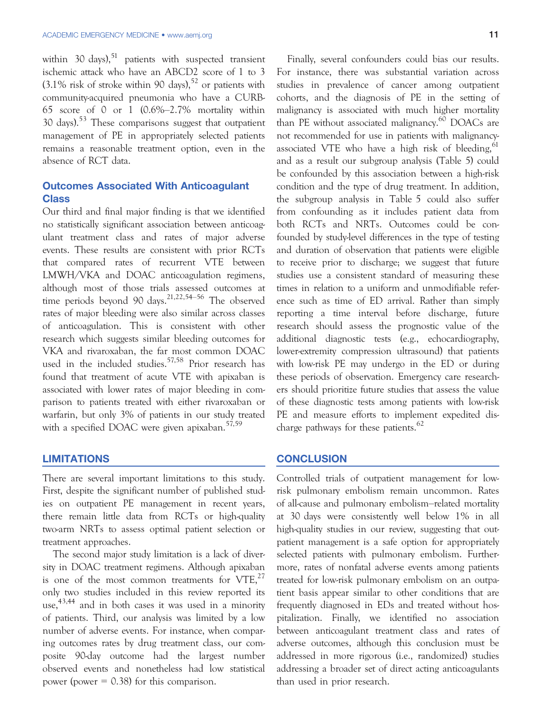within 30 days), $51$  patients with suspected transient ischemic attack who have an ABCD2 score of 1 to 3  $(3.1\%$  risk of stroke within 90 days),<sup>52</sup> or patients with community-acquired pneumonia who have a CURB-65 score of 0 or 1 (0.6%–2.7% mortality within 30 days).<sup>53</sup> These comparisons suggest that outpatient management of PE in appropriately selected patients remains a reasonable treatment option, even in the absence of RCT data.

# Outcomes Associated With Anticoagulant Class

Our third and final major finding is that we identified no statistically significant association between anticoagulant treatment class and rates of major adverse events. These results are consistent with prior RCTs that compared rates of recurrent VTE between LMWH/VKA and DOAC anticoagulation regimens, although most of those trials assessed outcomes at time periods beyond 90 days.<sup>21,22,54–56</sup> The observed rates of major bleeding were also similar across classes of anticoagulation. This is consistent with other research which suggests similar bleeding outcomes for VKA and rivaroxaban, the far most common DOAC used in the included studies.<sup>57,58</sup> Prior research has found that treatment of acute VTE with apixaban is associated with lower rates of major bleeding in comparison to patients treated with either rivaroxaban or warfarin, but only 3% of patients in our study treated with a specified DOAC were given apixaban.<sup>57,59</sup>

## LIMITATIONS

There are several important limitations to this study. First, despite the significant number of published studies on outpatient PE management in recent years, there remain little data from RCTs or high-quality two-arm NRTs to assess optimal patient selection or treatment approaches.

The second major study limitation is a lack of diversity in DOAC treatment regimens. Although apixaban is one of the most common treatments for  $VTE<sub>1</sub><sup>27</sup>$ only two studies included in this review reported its use,  $43,44$  and in both cases it was used in a minority of patients. Third, our analysis was limited by a low number of adverse events. For instance, when comparing outcomes rates by drug treatment class, our composite 90-day outcome had the largest number observed events and nonetheless had low statistical power (power  $= 0.38$ ) for this comparison.

Finally, several confounders could bias our results. For instance, there was substantial variation across studies in prevalence of cancer among outpatient cohorts, and the diagnosis of PE in the setting of malignancy is associated with much higher mortality than PE without associated malignancy.<sup>60</sup> DOACs are not recommended for use in patients with malignancyassociated VTE who have a high risk of bleeding,<sup>61</sup> and as a result our subgroup analysis (Table 5) could be confounded by this association between a high-risk condition and the type of drug treatment. In addition, the subgroup analysis in Table 5 could also suffer from confounding as it includes patient data from both RCTs and NRTs. Outcomes could be confounded by study-level differences in the type of testing and duration of observation that patients were eligible to receive prior to discharge; we suggest that future studies use a consistent standard of measuring these times in relation to a uniform and unmodifiable reference such as time of ED arrival. Rather than simply reporting a time interval before discharge, future research should assess the prognostic value of the additional diagnostic tests (e.g., echocardiography, lower-extremity compression ultrasound) that patients with low-risk PE may undergo in the ED or during these periods of observation. Emergency care researchers should prioritize future studies that assess the value of these diagnostic tests among patients with low-risk PE and measure efforts to implement expedited discharge pathways for these patients.<sup>62</sup>

## **CONCLUSION**

Controlled trials of outpatient management for lowrisk pulmonary embolism remain uncommon. Rates of all-cause and pulmonary embolism–related mortality at 30 days were consistently well below 1% in all high-quality studies in our review, suggesting that outpatient management is a safe option for appropriately selected patients with pulmonary embolism. Furthermore, rates of nonfatal adverse events among patients treated for low-risk pulmonary embolism on an outpatient basis appear similar to other conditions that are frequently diagnosed in EDs and treated without hospitalization. Finally, we identified no association between anticoagulant treatment class and rates of adverse outcomes, although this conclusion must be addressed in more rigorous (i.e., randomized) studies addressing a broader set of direct acting anticoagulants than used in prior research.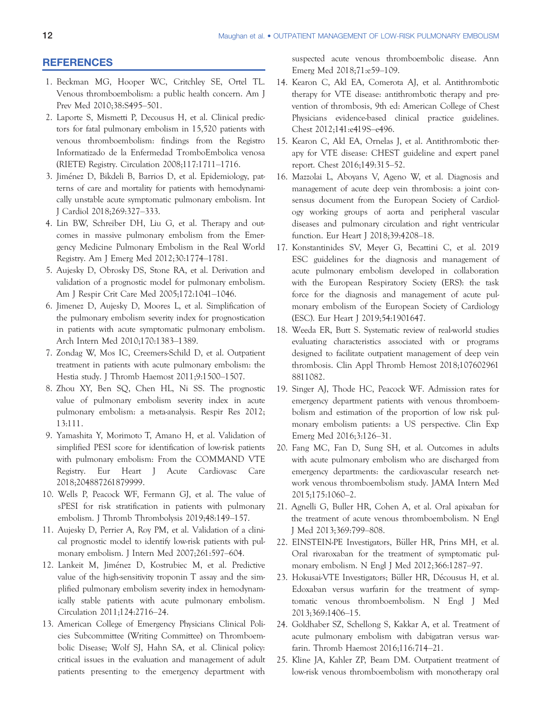#### **REFERENCES**

- 1. Beckman MG, Hooper WC, Critchley SE, Ortel TL. Venous thromboembolism: a public health concern. Am J Prev Med 2010;38:S495–501.
- 2. Laporte S, Mismetti P, Decousus H, et al. Clinical predictors for fatal pulmonary embolism in 15,520 patients with venous thromboembolism: findings from the Registro Informatizado de la Enfermedad TromboEmbolica venosa (RIETE) Registry. Circulation 2008;117:1711–1716.
- 3. Jimenez D, Bikdeli B, Barrios D, et al. Epidemiology, patterns of care and mortality for patients with hemodynamically unstable acute symptomatic pulmonary embolism. Int J Cardiol 2018;269:327–333.
- 4. Lin BW, Schreiber DH, Liu G, et al. Therapy and outcomes in massive pulmonary embolism from the Emergency Medicine Pulmonary Embolism in the Real World Registry. Am J Emerg Med 2012;30:1774–1781.
- 5. Aujesky D, Obrosky DS, Stone RA, et al. Derivation and validation of a prognostic model for pulmonary embolism. Am J Respir Crit Care Med 2005;172:1041–1046.
- 6. Jimenez D, Aujesky D, Moores L, et al. Simplification of the pulmonary embolism severity index for prognostication in patients with acute symptomatic pulmonary embolism. Arch Intern Med 2010;170:1383–1389.
- 7. Zondag W, Mos IC, Creemers-Schild D, et al. Outpatient treatment in patients with acute pulmonary embolism: the Hestia study. J Thromb Haemost 2011;9:1500–1507.
- 8. Zhou XY, Ben SQ, Chen HL, Ni SS. The prognostic value of pulmonary embolism severity index in acute pulmonary embolism: a meta-analysis. Respir Res 2012; 13:111.
- 9. Yamashita Y, Morimoto T, Amano H, et al. Validation of simplified PESI score for identification of low-risk patients with pulmonary embolism: From the COMMAND VTE Registry. Eur Heart J Acute Cardiovasc Care 2018;204887261879999.
- 10. Wells P, Peacock WF, Fermann GJ, et al. The value of sPESI for risk stratification in patients with pulmonary embolism. J Thromb Thrombolysis 2019;48:149–157.
- 11. Aujesky D, Perrier A, Roy PM, et al. Validation of a clinical prognostic model to identify low-risk patients with pulmonary embolism. J Intern Med 2007;261:597–604.
- 12. Lankeit M, Jiménez D, Kostrubiec M, et al. Predictive value of the high-sensitivity troponin T assay and the simplified pulmonary embolism severity index in hemodynamically stable patients with acute pulmonary embolism. Circulation 2011;124:2716–24.
- 13. American College of Emergency Physicians Clinical Policies Subcommittee (Writing Committee) on Thromboembolic Disease; Wolf SJ, Hahn SA, et al. Clinical policy: critical issues in the evaluation and management of adult patients presenting to the emergency department with

suspected acute venous thromboembolic disease. Ann Emerg Med 2018;71:e59–109.

- 14. Kearon C, Akl EA, Comerota AJ, et al. Antithrombotic therapy for VTE disease: antithrombotic therapy and prevention of thrombosis, 9th ed: American College of Chest Physicians evidence-based clinical practice guidelines. Chest 2012;141:e419S–e496.
- 15. Kearon C, Akl EA, Ornelas J, et al. Antithrombotic therapy for VTE disease: CHEST guideline and expert panel report. Chest 2016;149:315–52.
- 16. Mazzolai L, Aboyans V, Ageno W, et al. Diagnosis and management of acute deep vein thrombosis: a joint consensus document from the European Society of Cardiology working groups of aorta and peripheral vascular diseases and pulmonary circulation and right ventricular function. Eur Heart J 2018;39:4208–18.
- 17. Konstantinides SV, Meyer G, Becattini C, et al. 2019 ESC guidelines for the diagnosis and management of acute pulmonary embolism developed in collaboration with the European Respiratory Society (ERS): the task force for the diagnosis and management of acute pulmonary embolism of the European Society of Cardiology (ESC). Eur Heart J 2019;54:1901647.
- 18. Weeda ER, Butt S. Systematic review of real-world studies evaluating characteristics associated with or programs designed to facilitate outpatient management of deep vein thrombosis. Clin Appl Thromb Hemost 2018;107602961 8811082.
- 19. Singer AJ, Thode HC, Peacock WF. Admission rates for emergency department patients with venous thromboembolism and estimation of the proportion of low risk pulmonary embolism patients: a US perspective. Clin Exp Emerg Med 2016;3:126–31.
- 20. Fang MC, Fan D, Sung SH, et al. Outcomes in adults with acute pulmonary embolism who are discharged from emergency departments: the cardiovascular research network venous thromboembolism study. JAMA Intern Med 2015;175:1060–2.
- 21. Agnelli G, Buller HR, Cohen A, et al. Oral apixaban for the treatment of acute venous thromboembolism. N Engl J Med 2013;369:799–808.
- 22. EINSTEIN-PE Investigators, Büller HR, Prins MH, et al. Oral rivaroxaban for the treatment of symptomatic pulmonary embolism. N Engl J Med 2012;366:1287–97.
- 23. Hokusai-VTE Investigators; Büller HR, Décousus H, et al. Edoxaban versus warfarin for the treatment of symptomatic venous thromboembolism. N Engl J Med 2013;369:1406–15.
- 24. Goldhaber SZ, Schellong S, Kakkar A, et al. Treatment of acute pulmonary embolism with dabigatran versus warfarin. Thromb Haemost 2016;116:714–21.
- 25. Kline JA, Kahler ZP, Beam DM. Outpatient treatment of low-risk venous thromboembolism with monotherapy oral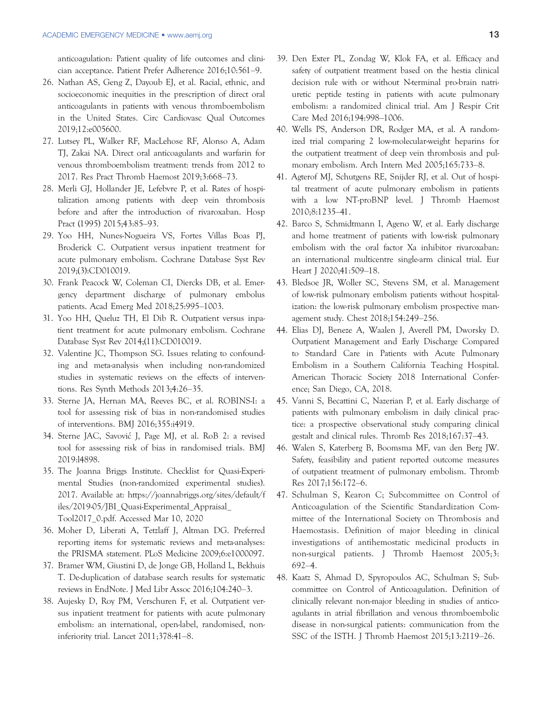anticoagulation: Patient quality of life outcomes and clinician acceptance. Patient Prefer Adherence 2016;10:561–9.

- 26. Nathan AS, Geng Z, Dayoub EJ, et al. Racial, ethnic, and socioeconomic inequities in the prescription of direct oral anticoagulants in patients with venous thromboembolism in the United States. Circ Cardiovasc Qual Outcomes 2019;12:e005600.
- 27. Lutsey PL, Walker RF, MacLehose RF, Alonso A, Adam TJ, Zakai NA. Direct oral anticoagulants and warfarin for venous thromboembolism treatment: trends from 2012 to 2017. Res Pract Thromb Haemost 2019;3:668–73.
- 28. Merli GJ, Hollander JE, Lefebvre P, et al. Rates of hospitalization among patients with deep vein thrombosis before and after the introduction of rivaroxaban. Hosp Pract (1995) 2015;43:85–93.
- 29. Yoo HH, Nunes-Nogueira VS, Fortes Villas Boas PJ, Broderick C. Outpatient versus inpatient treatment for acute pulmonary embolism. Cochrane Database Syst Rev 2019;(3):CD010019.
- 30. Frank Peacock W, Coleman CI, Diercks DB, et al. Emergency department discharge of pulmonary embolus patients. Acad Emerg Med 2018;25:995–1003.
- 31. Yoo HH, Queluz TH, El Dib R. Outpatient versus inpatient treatment for acute pulmonary embolism. Cochrane Database Syst Rev 2014;(11):CD010019.
- 32. Valentine JC, Thompson SG. Issues relating to confounding and meta-analysis when including non-randomized studies in systematic reviews on the effects of interventions. Res Synth Methods 2013;4:26–35.
- 33. Sterne JA, Hernan MA, Reeves BC, et al. ROBINS-I: a tool for assessing risk of bias in non-randomised studies of interventions. BMJ 2016;355:i4919.
- 34. Sterne JAC, Savovic J, Page MJ, et al. RoB 2: a revised tool for assessing risk of bias in randomised trials. BMJ 2019:l4898.
- 35. The Joanna Briggs Institute. Checklist for Quasi-Experimental Studies (non-randomized experimental studies). 2017. Available at: [https://joannabriggs.org/sites/default/f](https://joannabriggs.org/sites/default/files/2019-05/JBI_Quasi-Experimental_Appraisal_Tool2017_0.pdf) [iles/2019-05/JBI\\_Quasi-Experimental\\_Appraisal\\_](https://joannabriggs.org/sites/default/files/2019-05/JBI_Quasi-Experimental_Appraisal_Tool2017_0.pdf) [Tool2017\\_0.pdf.](https://joannabriggs.org/sites/default/files/2019-05/JBI_Quasi-Experimental_Appraisal_Tool2017_0.pdf) Accessed Mar 10, 2020
- 36. Moher D, Liberati A, Tetzlaff J, Altman DG. Preferred reporting items for systematic reviews and meta-analyses: the PRISMA statement. PLoS Medicine 2009;6:e1000097.
- 37. Bramer WM, Giustini D, de Jonge GB, Holland L, Bekhuis T. De-duplication of database search results for systematic reviews in EndNote. J Med Libr Assoc 2016;104:240–3.
- 38. Aujesky D, Roy PM, Verschuren F, et al. Outpatient versus inpatient treatment for patients with acute pulmonary embolism: an international, open-label, randomised, noninferiority trial. Lancet 2011;378:41–8.
- 39. Den Exter PL, Zondag W, Klok FA, et al. Efficacy and safety of outpatient treatment based on the hestia clinical decision rule with or without N-terminal pro-brain natriuretic peptide testing in patients with acute pulmonary embolism: a randomized clinical trial. Am J Respir Crit Care Med 2016;194:998–1006.
- 40. Wells PS, Anderson DR, Rodger MA, et al. A randomized trial comparing 2 low-molecular-weight heparins for the outpatient treatment of deep vein thrombosis and pulmonary embolism. Arch Intern Med 2005;165:733–8.
- 41. Agterof MJ, Schutgens RE, Snijder RJ, et al. Out of hospital treatment of acute pulmonary embolism in patients with a low NT-proBNP level. J Thromb Haemost 2010;8:1235–41.
- 42. Barco S, Schmidtmann I, Ageno W, et al. Early discharge and home treatment of patients with low-risk pulmonary embolism with the oral factor Xa inhibitor rivaroxaban: an international multicentre single-arm clinical trial. Eur Heart J 2020;41:509–18.
- 43. Bledsoe JR, Woller SC, Stevens SM, et al. Management of low-risk pulmonary embolism patients without hospitalization: the low-risk pulmonary embolism prospective management study. Chest 2018;154:249–256.
- 44. Elias DJ, Beneze A, Waalen J, Averell PM, Dworsky D. Outpatient Management and Early Discharge Compared to Standard Care in Patients with Acute Pulmonary Embolism in a Southern California Teaching Hospital. American Thoracic Society 2018 International Conference; San Diego, CA, 2018.
- 45. Vanni S, Becattini C, Nazerian P, et al. Early discharge of patients with pulmonary embolism in daily clinical practice: a prospective observational study comparing clinical gestalt and clinical rules. Thromb Res 2018;167:37–43.
- 46. Walen S, Katerberg B, Boomsma MF, van den Berg JW. Safety, feasibility and patient reported outcome measures of outpatient treatment of pulmonary embolism. Thromb Res 2017;156:172–6.
- 47. Schulman S, Kearon C; Subcommittee on Control of Anticoagulation of the Scientific Standardization Committee of the International Society on Thrombosis and Haemostasis. Definition of major bleeding in clinical investigations of antihemostatic medicinal products in non-surgical patients. J Thromb Haemost 2005;3: 692–4.
- 48. Kaatz S, Ahmad D, Spyropoulos AC, Schulman S; Subcommittee on Control of Anticoagulation. Definition of clinically relevant non-major bleeding in studies of anticoagulants in atrial fibrillation and venous thromboembolic disease in non-surgical patients: communication from the SSC of the ISTH. J Thromb Haemost 2015;13:2119–26.